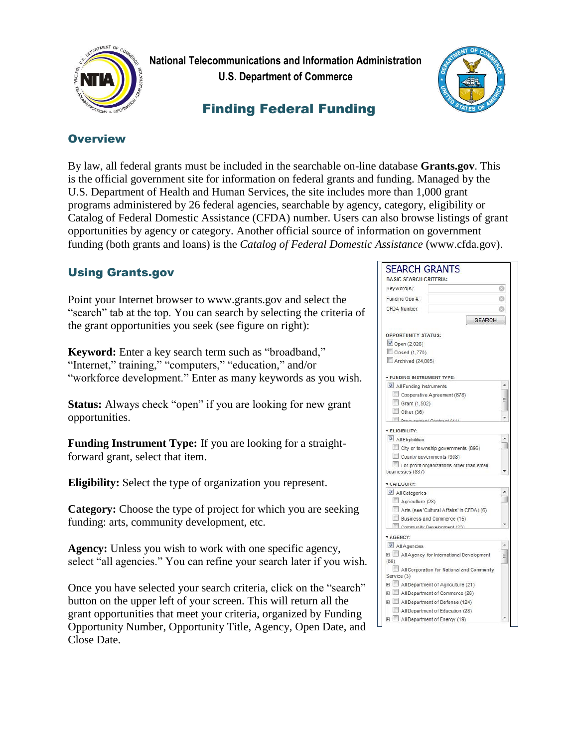

 **National Telecommunications and Information Administration U.S. Department of Commerce**

# Finding Federal Funding



#### **Overview**

By law, all federal grants must be included in the searchable on-line database **Grants.gov**. This is the official government site for information on federal grants and funding. Managed by the U.S. Department of Health and Human Services, the site includes more than 1,000 grant programs administered by 26 federal agencies, searchable by agency, category, eligibility or Catalog of Federal Domestic Assistance (CFDA) number. Users can also browse listings of grant opportunities by agency or category. Another official source of information on government funding (both grants and loans) is the *Catalog of Federal Domestic Assistance* (www.cfda.gov).

## Using Grants.gov

Point your Internet browser to www.grants.gov and select the "search" tab at the top. You can search by selecting the criteria of the grant opportunities you seek (see figure on right):

**Keyword:** Enter a key search term such as "broadband," "Internet," training," "computers," "education," and/or "workforce development." Enter as many keywords as you wish.

**Status:** Always check "open" if you are looking for new grant opportunities.

**Funding Instrument Type:** If you are looking for a straightforward grant, select that item.

**Eligibility:** Select the type of organization you represent.

**Category:** Choose the type of project for which you are seeking funding: arts, community development, etc.

**Agency:** Unless you wish to work with one specific agency, select "all agencies." You can refine your search later if you wish.

Once you have selected your search criteria, click on the "search" button on the upper left of your screen. This will return all the grant opportunities that meet your criteria, organized by Funding Opportunity Number, Opportunity Title, Agency, Open Date, and Close Date.

| <b>SEARCH GRANTS</b>                                          |   |
|---------------------------------------------------------------|---|
| <b>BASIC SEARCH CRITERIA:</b>                                 |   |
| Keyword(s):                                                   |   |
| Funding Opp #:                                                |   |
| CFDA Number:                                                  |   |
|                                                               |   |
| <b>SEARCH</b>                                                 |   |
| <b>OPPORTUNITY STATUS:</b>                                    |   |
| Open (2,026)                                                  |   |
| Closed (1,770)                                                |   |
| Archived (24,005)                                             |   |
|                                                               |   |
| FUNDING IN STRUMENT TYPE:                                     |   |
| All Funding Instruments                                       |   |
| Cooperative Agreement (678)                                   | Ξ |
| Grant (1,502)                                                 |   |
| Other (36)                                                    |   |
| <b>Dranurament Contract (41)</b>                              |   |
| <b>ELIGIBILITY:</b>                                           |   |
| All Eligibilities                                             |   |
| City or township governments (896)                            |   |
| County governments (908)                                      |   |
| For profit organizations other than small<br>businesses (837) |   |
|                                                               |   |
| CATEGORY:                                                     |   |
| All Categories                                                |   |
| Agriculture (28)                                              |   |
| Arts (see 'Cultural Affairs' in CFDA) (6)                     |   |
| Business and Commerce (15)<br>Community Development (23)      |   |
|                                                               |   |
| AGENCY:                                                       |   |
| All Agencies                                                  |   |
| All Agency for International Development<br>(66)              |   |
| All Corporation for National and Community                    |   |
| Service (3)                                                   |   |
| All Department of Agriculture (21)                            |   |
| All Department of Commerce (26)                               |   |
| All Department of Defense (124)                               |   |
| All Department of Education (28)                              |   |
| All Department of Energy (19)                                 |   |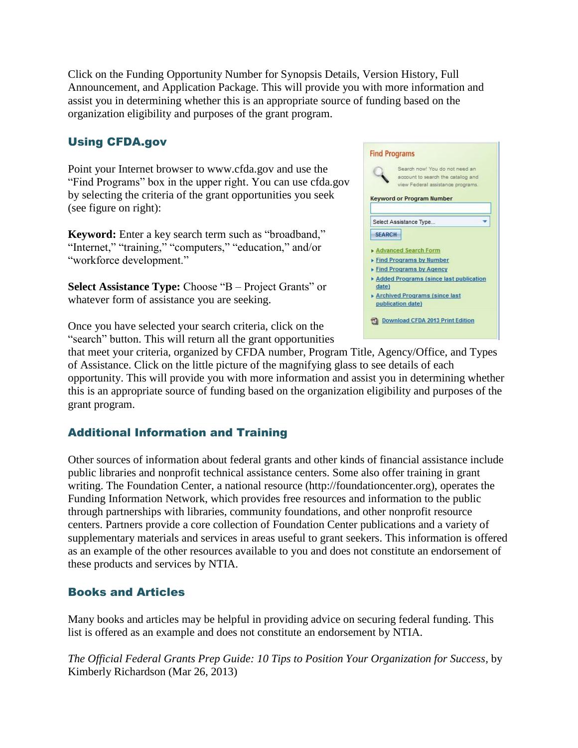Click on the Funding Opportunity Number for Synopsis Details, Version History, Full Announcement, and Application Package. This will provide you with more information and assist you in determining whether this is an appropriate source of funding based on the organization eligibility and purposes of the grant program.

## Using CFDA.gov

Point your Internet browser to www.cfda.gov and use the "Find Programs" box in the upper right. You can use cfda.gov by selecting the criteria of the grant opportunities you seek (see figure on right):

**Keyword:** Enter a key search term such as "broadband," "Internet," "training," "computers," "education," and/or "workforce development."

**Select Assistance Type:** Choose "B – Project Grants" or whatever form of assistance you are seeking.

Once you have selected your search criteria, click on the "search" button. This will return all the grant opportunities

|               | Search now! You do not need an<br>account to search the catalog and |
|---------------|---------------------------------------------------------------------|
|               | view Federal assistance programs.                                   |
|               | <b>Keyword or Program Number</b>                                    |
|               |                                                                     |
|               | Select Assistance Type                                              |
| <b>SFARCH</b> |                                                                     |
|               |                                                                     |
|               | Advanced Search Form                                                |
|               | Find Programs by Number<br>Find Programs by Agency                  |
|               |                                                                     |
| date)         | Added Programs (since last publication                              |
|               | Archived Programs (since last                                       |
|               |                                                                     |
|               | publication date)                                                   |

that meet your criteria, organized by CFDA number, Program Title, Agency/Office, and Types of Assistance. Click on the little picture of the magnifying glass to see details of each opportunity. This will provide you with more information and assist you in determining whether this is an appropriate source of funding based on the organization eligibility and purposes of the grant program.

## Additional Information and Training

Other sources of information about federal grants and other kinds of financial assistance include public libraries and nonprofit technical assistance centers. Some also offer training in grant writing. The Foundation Center, a national resource (http://foundationcenter.org), operates the Funding Information Network, which provides free resources and information to the public through partnerships with libraries, community foundations, and other nonprofit resource centers. Partners provide a core collection of Foundation Center publications and a variety of supplementary materials and services in areas useful to grant seekers. This information is offered as an example of the other resources available to you and does not constitute an endorsement of these products and services by NTIA.

#### Books and Articles

Many books and articles may be helpful in providing advice on securing federal funding. This list is offered as an example and does not constitute an endorsement by NTIA.

*The Official Federal Grants Prep Guide: 10 Tips to Position Your Organization for Success,* by Kimberly Richardson (Mar 26, 2013)